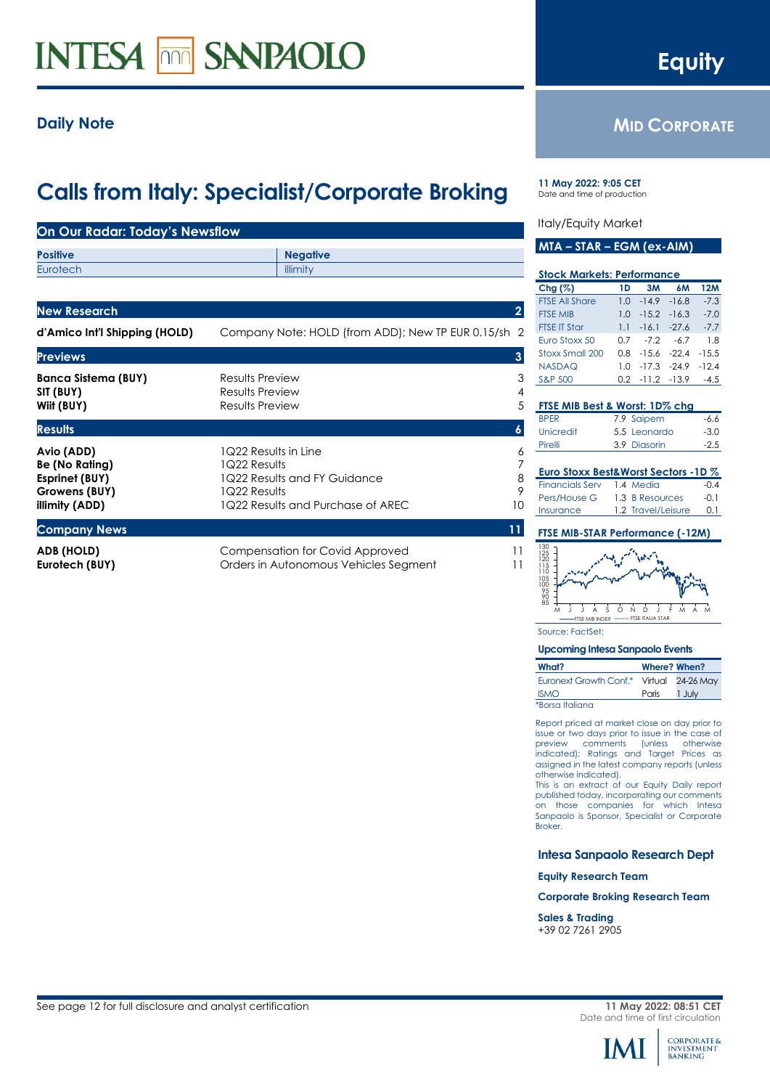# **INTESA MM SANPAOLO**

# **Daily Note**

# **Calls from Italy: Specialist/Corporate Broking**

| On Our Radar: Today's Newsflow                                                    |                                                                                                                           |                                     |
|-----------------------------------------------------------------------------------|---------------------------------------------------------------------------------------------------------------------------|-------------------------------------|
| <b>Positive</b><br>Eurotech                                                       | <b>Negative</b><br>illimity                                                                                               |                                     |
|                                                                                   |                                                                                                                           |                                     |
| <b>New Research</b>                                                               |                                                                                                                           | $\overline{2}$                      |
| d'Amico Int'l Shipping (HOLD)                                                     | Company Note: HOLD (from ADD); New TP EUR 0.15/sh 2                                                                       |                                     |
| <b>Previews</b>                                                                   |                                                                                                                           | 3                                   |
| <b>Banca Sistema (BUY)</b><br>SIT (BUY)<br>Wiit (BUY)                             | Results Preview<br>Results Preview<br>Results Preview                                                                     | 3<br>$\overline{4}$<br>5            |
| <b>Results</b>                                                                    |                                                                                                                           | $\boldsymbol{6}$                    |
| Avio (ADD)<br>Be (No Rating)<br>Esprinet (BUY)<br>Growens (BUY)<br>illimity (ADD) | 1Q22 Results in Line<br>1Q22 Results<br>1Q22 Results and FY Guidance<br>1Q22 Results<br>1Q22 Results and Purchase of AREC | 6<br>$\overline{7}$<br>8<br>9<br>10 |
| <b>Company News</b>                                                               |                                                                                                                           | 11                                  |
| ADB (HOLD)<br>Eurotech (BUY)                                                      | <b>Compensation for Covid Approved</b><br>Orders in Autonomous Vehicles Segment                                           | 11<br>11                            |

**11 May 2022: 9:05 CET** Date and time of production

#### Italy/Equity Market

| MTA – STAR – EGM (ex-AIM) |  |
|---------------------------|--|
|---------------------------|--|

| <b>Stock Markets: Performance</b> |                |                |         |            |  |  |
|-----------------------------------|----------------|----------------|---------|------------|--|--|
| $Chg (\%)$                        | 1D             | 3M             | 6M      | <b>12M</b> |  |  |
| <b>FTSE All Share</b>             | 1.0            | $-14.9$        | $-16.8$ | $-7.3$     |  |  |
| <b>FTSE MIB</b>                   | 1.0            | $-15.2 - 16.3$ |         | $-7.0$     |  |  |
| <b>FTSE IT Star</b>               |                | $1.1 - 16.1$   | $-27.6$ | $-7.7$     |  |  |
| Euro Stoxx 50                     | 0.7            | $-7.2$         | $-6.7$  | 1.8        |  |  |
| Stoxx Small 200                   | 0 8            | $-1.56$        | $-224$  | $-15.5$    |  |  |
| NASDAQ                            | 1 <sub>0</sub> | $-17.3$        | $-249$  | $-12.4$    |  |  |
| <b>S&amp;P 500</b>                | 0.2            | $-11.2$        | $-13.9$ | $-4.5$     |  |  |
|                                   |                |                |         |            |  |  |
| FTSE MIB Best & Worst: 1D% cha    |                |                |         |            |  |  |
| <b>BPER</b>                       |                | 7.9 Saipem     |         | -6.6       |  |  |

| Pirelli     | 3.9 Diasorin | $-2.5$ |
|-------------|--------------|--------|
| Unicredit   | 5.5 Leonardo | $-3.0$ |
| <b>BPFR</b> | 7.9 Saipem   | -6.6   |

| Euro Stoxx Best&Worst Sectors -1D % |  |                    |        |  |  |
|-------------------------------------|--|--------------------|--------|--|--|
| <b>Financials Serv</b>              |  | 1.4 Media          | $-0.4$ |  |  |
| Pers/House G                        |  | 1.3 B Resources    | $-01$  |  |  |
| Insurance                           |  | 1.2 Travel/Leisure | 0 I    |  |  |

#### **FTSE MIB-STAR Performance (-12M)**

M J J A S O N D J F M A M 105<br>100<br>95<br>85<br>85 130<br>125<br>120<br>115<br>110 FTSE MIB INDEX ------- FTSE ITALIA STAR

Source: FactSet;

#### **Upcoming Intesa Sanpaolo Events**

| What?                  | Where? When? |                   |
|------------------------|--------------|-------------------|
| Euronext Growth Conf.* |              | Virtual 24-26 May |
| <b>ISMO</b>            | Paris        | 1 July            |
| *Borsa Italiana        |              |                   |

Report priced at market close on day prior to issue or two days prior to issue in the case of preview comments (unless otherwise indicated); Ratings and Target Prices as assigned in the latest company reports (unless otherwise indicated).

This is an extract of our Equity Daily report published today, incorporating our comments on those companies for which Intesa Sanpaolo is Sponsor, Specialist or Corporate Broker.

#### **Intesa Sanpaolo Research Dept**

**Equity Research Team**

**Corporate Broking Research Team**

<span id="page-0-1"></span>**Sales & Trading** +39 02 7261 2905



<span id="page-0-0"></span>

**MID CORPORATE**

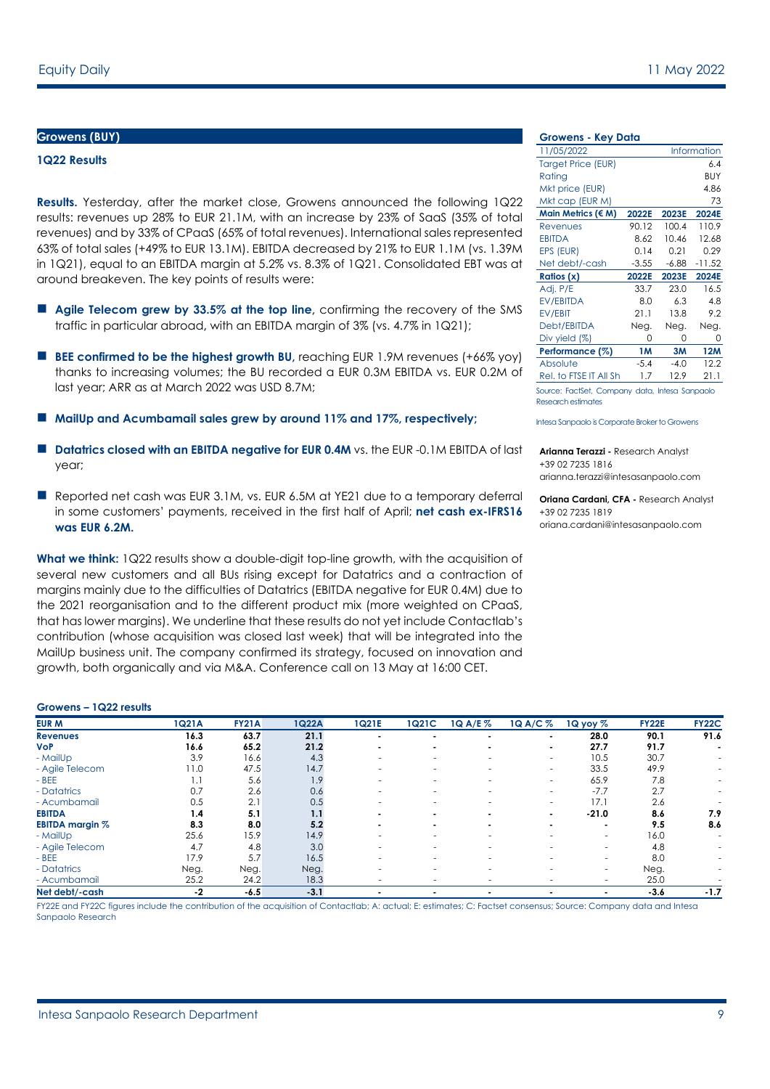#### **Growens (BUY)**

#### **1Q22 Results**

**Results.** Yesterday, after the market close, Growens announced the following 1Q22 results: revenues up 28% to EUR 21.1M, with an increase by 23% of SaaS (35% of total revenues) and by 33% of CPaaS (65% of total revenues). International sales represented 63% of total sales (+49% to EUR 13.1M). EBITDA decreased by 21% to EUR 1.1M (vs. 1.39M in 1Q21), equal to an EBITDA margin at 5.2% vs. 8.3% of 1Q21. Consolidated EBT was at around breakeven. The key points of results were:

- **Agile Telecom grew by 33.5% at the top line,** confirming the recovery of the SMS traffic in particular abroad**,** with an EBITDA margin of 3% (vs. 4.7% in 1Q21);
- **BEE confirmed to be the highest growth BU, reaching EUR 1.9M revenues (+66% yoy)** thanks to increasing volumes; the BU recorded a EUR 0.3M EBITDA vs. EUR 0.2M of last year; ARR as at March 2022 was USD 8.7M;
- **MailUp and Acumbamail sales grew by around 11% and 17%, respectively;**
- **Datatrics closed with an EBITDA negative for EUR 0.4M** vs. the EUR -0.1M EBITDA of last year;
- Reported net cash was EUR 3.1M, vs. EUR 6.5M at YE21 due to a temporary deferral in some customers' payments, received in the first half of April; **net cash ex-IFRS16 was EUR 6.2M.**

**What we think:** 1Q22 results show a double-digit top-line growth, with the acquisition of several new customers and all BUs rising except for Datatrics and a contraction of margins mainly due to the difficulties of Datatrics (EBITDA negative for EUR 0.4M) due to the 2021 reorganisation and to the different product mix (more weighted on CPaaS, that has lower margins). We underline that these results do not yet include Contactlab's contribution (whose acquisition was closed last week) that will be integrated into the MailUp business unit. The company confirmed its strategy, focused on innovation and growth, both organically and via M&A. Conference call on 13 May at 16:00 CET.

#### **Growens – 1Q22 results**

| -------<br>19.44100110 |       |              |        |       |                          |                          |                          |                          |              |              |
|------------------------|-------|--------------|--------|-------|--------------------------|--------------------------|--------------------------|--------------------------|--------------|--------------|
| <b>EUR M</b>           | 1Q21A | <b>FY21A</b> | 1Q22A  | 1Q21E | 1Q21C                    | 1Q A/E %                 | 1Q A/C %                 | 1Q yoy $%$               | <b>FY22E</b> | <b>FY22C</b> |
| <b>Revenues</b>        | 16.3  | 63.7         | 21.1   |       | $\blacksquare$           |                          |                          | 28.0                     | 90.1         | 91.6         |
| <b>VoP</b>             | 16.6  | 65.2         | 21.2   |       | $\blacksquare$           |                          |                          | 27.7                     | 91.7         |              |
| - MailUp               | 3.9   | 16.6         | 4.3    |       | ۰                        | $\overline{\phantom{a}}$ | $\overline{\phantom{a}}$ | 10.5                     | 30.7         | ٠            |
| - Agile Telecom        | 11.0  | 47.5         | 14.7   |       |                          |                          | ٠                        | 33.5                     | 49.9         |              |
| $-BEE$                 | 1.1   | 5.6          | 1.9    | ۰     | ۰                        | $\overline{\phantom{a}}$ | $\overline{\phantom{a}}$ | 65.9                     | 7.8          |              |
| - Datatrics            | 0.7   | 2.6          | 0.6    |       | ۰                        |                          | $\overline{\phantom{a}}$ | $-7.7$                   | 2.7          |              |
| - Acumbamail           | 0.5   | 2.1          | 0.5    |       |                          |                          | ٠                        | 17.1                     | 2.6          |              |
| <b>EBITDA</b>          | 1.4   | 5.1          | 1.1    |       |                          |                          | $\blacksquare$           | $-21.0$                  | 8.6          | 7.9          |
| <b>EBITDA</b> margin % | 8.3   | 8.0          | 5.2    |       |                          |                          |                          | $\blacksquare$           | 9.5          | 8.6          |
| - MailUp               | 25.6  | 15.9         | 14.9   |       | $\overline{\phantom{a}}$ | $\sim$                   |                          | $\sim$                   | 16.0         |              |
| - Agile Telecom        | 4.7   | 4.8          | 3.0    |       | ۰                        |                          |                          | $\overline{\phantom{a}}$ | 4.8          |              |
| $-BEE$                 | 17.9  | 5.7          | 16.5   |       |                          | ۰.                       |                          | $\sim$                   | 8.0          |              |
| - Datatrics            | Neg.  | Neg.         | Neg.   |       |                          |                          |                          | $\overline{\phantom{a}}$ | Neg.         |              |
| - Acumbamail           | 25.2  | 24.2         | 18.3   | ۰     | ۰                        | $\overline{\phantom{a}}$ |                          | $\overline{\phantom{a}}$ | 25.0         |              |
| Net debt/-cash         | $-2$  | $-6.5$       | $-3.1$ |       |                          |                          |                          |                          | $-3.6$       | $-1.7$       |

FY22E and FY22C figures include the contribution of the acquisition of Contactlab; A: actual; E: estimates; C: Factset consensus; Source: Company data and Intesa Sanpaolo Research

#### **Growens - Key Data**

| 11/05/2022                |           |         | <b>Information</b> |
|---------------------------|-----------|---------|--------------------|
| <b>Target Price (EUR)</b> |           |         | 6.4                |
| Rating                    |           |         | <b>BUY</b>         |
| Mkt price (EUR)           |           |         | 4.86               |
| Mkt cap (EUR M)           |           |         | 73                 |
| Main Metrics (€ M)        | 2022E     | 2023E   | 2024E              |
| Revenues                  | 90.12     | 100.4   | 110.9              |
| <b>EBITDA</b>             | 8.62      | 10.46   | 12.68              |
| EPS (EUR)                 | 0.14      | 0.21    | 0.29               |
| Net debt/-cash            | $-3.55$   | $-6.88$ | $-11.52$           |
| Ratios (x)                | 2022E     | 2023E   | 2024E              |
| Adj. P/E                  | 33.7      | 23.0    | 16.5               |
| EV/EBITDA                 | 8.0       | 6.3     | 4.8                |
| EV/EBIT                   | 21.1      | 13.8    | 9.2                |
| Debt/EBITDA               | Neg.      | Neg.    | Neg.               |
| Div yield $(\%)$          | U         | 0       | 0                  |
| Performance (%)           | <b>1M</b> | 3M      | <b>12M</b>         |
| Absolute                  | $-5.4$    | $-4.0$  | 12.2               |
| Rel. to FTSE IT All Sh    | 1.7       | 12.9    | 21.1               |
|                           |           |         |                    |

Source: FactSet, Company data, Intesa Sanpaolo Research estimates

Intesa Sanpaolo is Corporate Broker to Growens

**Arianna Terazzi -** Research Analyst +39 02 7235 1816 arianna.terazzi@intesasanpaolo.com

<span id="page-1-0"></span>**Oriana Cardani, CFA -** Research Analyst +39 02 7235 1819 oriana.cardani@intesasanpaolo.com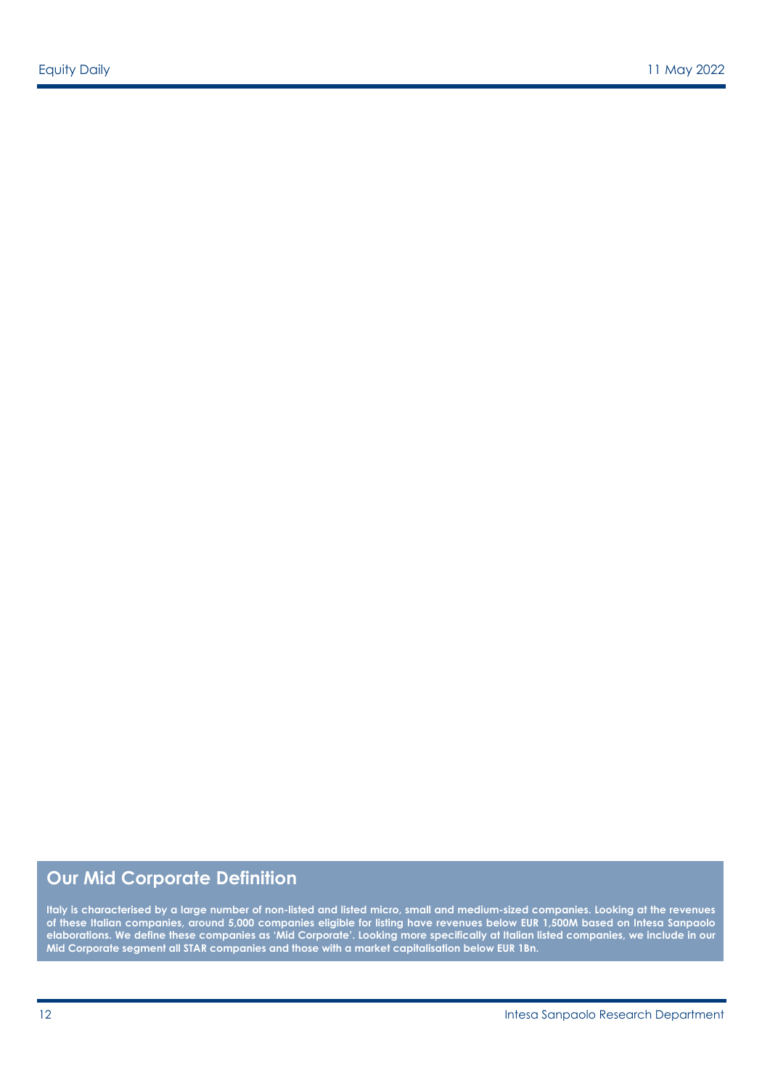# **Our Mid Corporate Definition**

**Italy is characterised by a large number of non-listed and listed micro, small and medium-sized companies. Looking at the revenues of these Italian companies, around 5,000 companies eligible for listing have revenues below EUR 1,500M based on Intesa Sanpaolo elaborations. We define these companies as 'Mid Corporate'. Looking more specifically at Italian listed companies, we include in our Mid Corporate segment all STAR companies and those with a market capitalisation below EUR 1Bn.**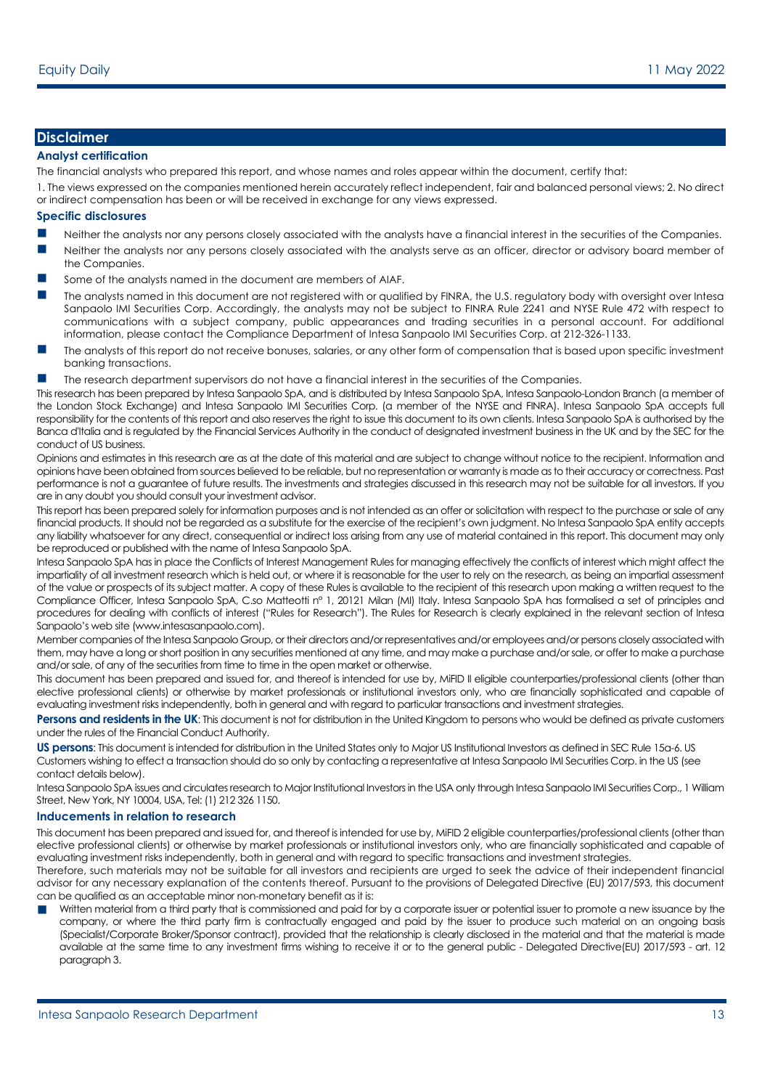## **Disclaimer**

#### **Analyst certification**

The financial analysts who prepared this report, and whose names and roles appear within the document, certify that:

1. The views expressed on the companies mentioned herein accurately reflect independent, fair and balanced personal views; 2. No direct or indirect compensation has been or will be received in exchange for any views expressed.

#### **Specific disclosures**

- **Neither the analysts nor any persons closely associated with the analysts have a financial interest in the securities of the Companies.**
- Neither the analysts nor any persons closely associated with the analysts serve as an officer, director or advisory board member of the Companies.
- Some of the analysts named in the document are members of AIAF.
- The analysts named in this document are not registered with or qualified by FINRA, the U.S. regulatory body with oversight over Intesa Sanpaolo IMI Securities Corp. Accordingly, the analysts may not be subject to FINRA Rule 2241 and NYSE Rule 472 with respect to communications with a subject company, public appearances and trading securities in a personal account. For additional information, please contact the Compliance Department of Intesa Sanpaolo IMI Securities Corp. at 212-326-1133.
- The analysts of this report do not receive bonuses, salaries, or any other form of compensation that is based upon specific investment banking transactions.
- The research department supervisors do not have a financial interest in the securities of the Companies.

This research has been prepared by Intesa Sanpaolo SpA, and is distributed by Intesa Sanpaolo SpA, Intesa Sanpaolo-London Branch (a member of the London Stock Exchange) and Intesa Sanpaolo IMI Securities Corp. (a member of the NYSE and FINRA). Intesa Sanpaolo SpA accepts full responsibility for the contents of this report and also reserves the right to issue this document to its own clients. Intesa Sanpaolo SpA is authorised by the Banca d'Italia and is regulated by the Financial Services Authority in the conduct of designated investment business in the UK and by the SEC for the conduct of US business.

Opinions and estimates in this research are as at the date of this material and are subject to change without notice to the recipient. Information and opinions have been obtained from sources believed to be reliable, but no representation or warranty is made as to their accuracy or correctness. Past performance is not a guarantee of future results. The investments and strategies discussed in this research may not be suitable for all investors. If you are in any doubt you should consult your investment advisor.

This report has been prepared solely for information purposes and is not intended as an offer or solicitation with respect to the purchase or sale of any financial products. It should not be regarded as a substitute for the exercise of the recipient's own judgment. No Intesa Sanpaolo SpA entity accepts any liability whatsoever for any direct, consequential or indirect loss arising from any use of material contained in this report. This document may only be reproduced or published with the name of Intesa Sanpaolo SpA.

Intesa Sanpaolo SpA has in place the Conflicts of Interest Management Rules for managing effectively the conflicts of interest which might affect the impartiality of all investment research which is held out, or where it is reasonable for the user to rely on the research, as being an impartial assessment of the value or prospects of its subject matter. A copy of these Rules is available to the recipient of this research upon making a written request to the Compliance Officer, Intesa Sanpaolo SpA, C.so Matteotti n° 1, 20121 Milan (MI) Italy. Intesa Sanpaolo SpA has formalised a set of principles and procedures for dealing with conflicts of interest ("Rules for Research"). The Rules for Research is clearly explained in the relevant section of Intesa Sanpaolo's web site (www.intesasanpaolo.com).

Member companies of the Intesa Sanpaolo Group, or their directors and/or representatives and/or employees and/or persons closely associated with them, may have a long or short position in any securities mentioned at any time, and may make a purchase and/or sale, or offer to make a purchase and/or sale, of any of the securities from time to time in the open market or otherwise.

This document has been prepared and issued for, and thereof is intended for use by, MiFID II eligible counterparties/professional clients (other than elective professional clients) or otherwise by market professionals or institutional investors only, who are financially sophisticated and capable of evaluating investment risks independently, both in general and with regard to particular transactions and investment strategies.

**Persons and residents in the UK:** This document is not for distribution in the United Kingdom to persons who would be defined as private customers under the rules of the Financial Conduct Authority.

**US persons**: This document is intended for distribution in the United States only to Major US Institutional Investors as defined in SEC Rule 15a-6. US Customers wishing to effect a transaction should do so only by contacting a representative at Intesa Sanpaolo IMI Securities Corp. in the US (see contact details below).

Intesa Sanpaolo SpA issues and circulates research to Major Institutional Investors in the USA only through Intesa Sanpaolo IMI Securities Corp., 1 William Street, New York, NY 10004, USA, Tel: (1) 212 326 1150.

#### **Inducements in relation to research**

This document has been prepared and issued for, and thereof is intended for use by, MiFID 2 eligible counterparties/professional clients (other than elective professional clients) or otherwise by market professionals or institutional investors only, who are financially sophisticated and capable of evaluating investment risks independently, both in general and with regard to specific transactions and investment strategies.

Therefore, such materials may not be suitable for all investors and recipients are urged to seek the advice of their independent financial advisor for any necessary explanation of the contents thereof. Pursuant to the provisions of Delegated Directive (EU) 2017/593, this document can be qualified as an acceptable minor non-monetary benefit as it is:

Written material from a third party that is commissioned and paid for by a corporate issuer or potential issuer to promote a new issuance by the company, or where the third party firm is contractually engaged and paid by the issuer to produce such material on an ongoing basis (Specialist/Corporate Broker/Sponsor contract), provided that the relationship is clearly disclosed in the material and that the material is made available at the same time to any investment firms wishing to receive it or to the general public - Delegated Directive(EU) 2017/593 - art. 12 paragraph 3.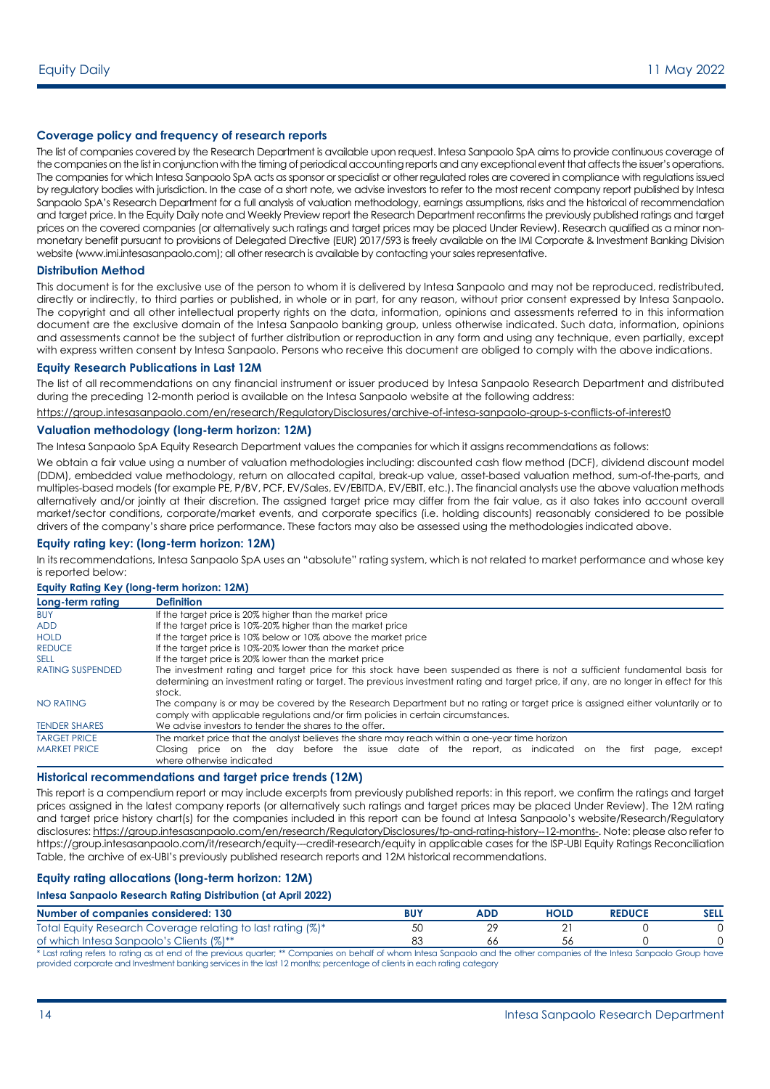#### **Coverage policy and frequency of research reports**

The list of companies covered by the Research Department is available upon request. Intesa Sanpaolo SpA aims to provide continuous coverage of the companies on the list in conjunction with the timing of periodical accounting reports and any exceptional event that affects the issuer's operations. The companies for which Intesa Sanpaolo SpA acts as sponsor or specialist or other regulated roles are covered in compliance with regulations issued by regulatory bodies with jurisdiction. In the case of a short note, we advise investors to refer to the most recent company report published by Intesa Sanpaolo SpA's Research Department for a full analysis of valuation methodology, earnings assumptions, risks and the historical of recommendation and target price. In the Equity Daily note and Weekly Preview report the Research Department reconfirms the previously published ratings and target prices on the covered companies (or alternatively such ratings and target prices may be placed Under Review). Research qualified as a minor nonmonetary benefit pursuant to provisions of Delegated Directive (EUR) 2017/593 is freely available on the IMI Corporate & Investment Banking Division website (www.imi.intesasanpaolo.com); all other research is available by contacting your sales representative.

#### **Distribution Method**

This document is for the exclusive use of the person to whom it is delivered by Intesa Sanpaolo and may not be reproduced, redistributed, directly or indirectly, to third parties or published, in whole or in part, for any reason, without prior consent expressed by Intesa Sanpaolo. The copyright and all other intellectual property rights on the data, information, opinions and assessments referred to in this information document are the exclusive domain of the Intesa Sanpaolo banking group, unless otherwise indicated. Such data, information, opinions and assessments cannot be the subject of further distribution or reproduction in any form and using any technique, even partially, except with express written consent by Intesa Sanpaolo. Persons who receive this document are obliged to comply with the above indications.

#### **Equity Research Publications in Last 12M**

The list of all recommendations on any financial instrument or issuer produced by Intesa Sanpaolo Research Department and distributed during the preceding 12-month period is available on the Intesa Sanpaolo website at the following address:

<https://group.intesasanpaolo.com/en/research/RegulatoryDisclosures/archive-of-intesa-sanpaolo-group-s-conflicts-of-interest0>

#### **Valuation methodology (long-term horizon: 12M)**

The Intesa Sanpaolo SpA Equity Research Department values the companies for which it assigns recommendations as follows:

We obtain a fair value using a number of valuation methodologies including: discounted cash flow method (DCF), dividend discount model (DDM), embedded value methodology, return on allocated capital, break-up value, asset-based valuation method, sum-of-the-parts, and multiples-based models (for example PE, P/BV, PCF, EV/Sales, EV/EBITDA, EV/EBIT, etc.). The financial analysts use the above valuation methods alternatively and/or jointly at their discretion. The assigned target price may differ from the fair value, as it also takes into account overall market/sector conditions, corporate/market events, and corporate specifics (i.e. holding discounts) reasonably considered to be possible drivers of the company's share price performance. These factors may also be assessed using the methodologies indicated above.

#### **Equity rating key: (long-term horizon: 12M)**

In its recommendations, Intesa Sanpaolo SpA uses an "absolute" rating system, which is not related to market performance and whose key is reported below:

| Equity Rating Key (long-term horizon: 12M) |                                                                                                                                                                                                                                                                                 |  |  |  |
|--------------------------------------------|---------------------------------------------------------------------------------------------------------------------------------------------------------------------------------------------------------------------------------------------------------------------------------|--|--|--|
| Long-term rating                           | <b>Definition</b>                                                                                                                                                                                                                                                               |  |  |  |
| <b>BUY</b>                                 | If the target price is 20% higher than the market price                                                                                                                                                                                                                         |  |  |  |
| <b>ADD</b>                                 | If the target price is 10%-20% higher than the market price                                                                                                                                                                                                                     |  |  |  |
| <b>HOLD</b>                                | If the target price is 10% below or 10% above the market price                                                                                                                                                                                                                  |  |  |  |
| <b>REDUCE</b>                              | If the target price is 10%-20% lower than the market price                                                                                                                                                                                                                      |  |  |  |
| <b>SELL</b>                                | If the target price is 20% lower than the market price                                                                                                                                                                                                                          |  |  |  |
| <b>RATING SUSPENDED</b>                    | The investment rating and target price for this stock have been suspended as there is not a sufficient fundamental basis for<br>determining an investment rating or target. The previous investment rating and target price, if any, are no longer in effect for this<br>stock. |  |  |  |
| <b>NO RATING</b>                           | The company is or may be covered by the Research Department but no rating or target price is assigned either voluntarily or to<br>comply with applicable regulations and/or firm policies in certain circumstances.                                                             |  |  |  |
| <b>TENDER SHARES</b>                       | We advise investors to tender the shares to the offer.                                                                                                                                                                                                                          |  |  |  |
| <b>TARGET PRICE</b><br><b>MARKET PRICE</b> | The market price that the analyst believes the share may reach within a one-year time horizon<br>Closing price on the day before the issue date of the report, as indicated on the<br>first<br>except<br>page,<br>where otherwise indicated                                     |  |  |  |

#### **Historical recommendations and target price trends (12M)**

This report is a compendium report or may include excerpts from previously published reports: in this report, we confirm the ratings and target prices assigned in the latest company reports (or alternatively such ratings and target prices may be placed Under Review). The 12M rating and target price history chart(s) for the companies included in this report can be found at Intesa Sanpaolo's website/Research/Regulatory disclosures: [https://group.intesasanpaolo.com/en/research/RegulatoryDisclosures/tp-and-rating-history--12-months-.](https://group.intesasanpaolo.com/en/research/RegulatoryDisclosures/tp-and-rating-history--12-months-) Note: please also refer to https://group.intesasanpaolo.com/it/research/equity---credit-research/equity in applicable cases for the ISP-UBI Equity Ratings Reconciliation Table, the archive of ex-UBI's previously published research reports and 12M historical recommendations.

#### **Equity rating allocations (long-term horizon: 12M)**

#### **Intesa Sanpaolo Research Rating Distribution (at April 2022)**

| Number of companies considered: 130                         | <b>BUY</b> | ADD | <b>HOLD</b> | <b>REDUCE</b> | <b>SELL</b> |
|-------------------------------------------------------------|------------|-----|-------------|---------------|-------------|
| Total Equity Research Coverage relating to last rating (%)* |            | ററ  |             |               |             |
| of which Intesa Sanpaolo's Clients (%)**                    |            | 66  |             |               |             |

\* Last rating refers to rating as at end of the previous quarter; \*\* Companies on behalf of whom Intesa Sanpaolo and the other companies of the Intesa Sanpaolo Group have provided corporate and Investment banking services in the last 12 months; percentage of clients in each rating category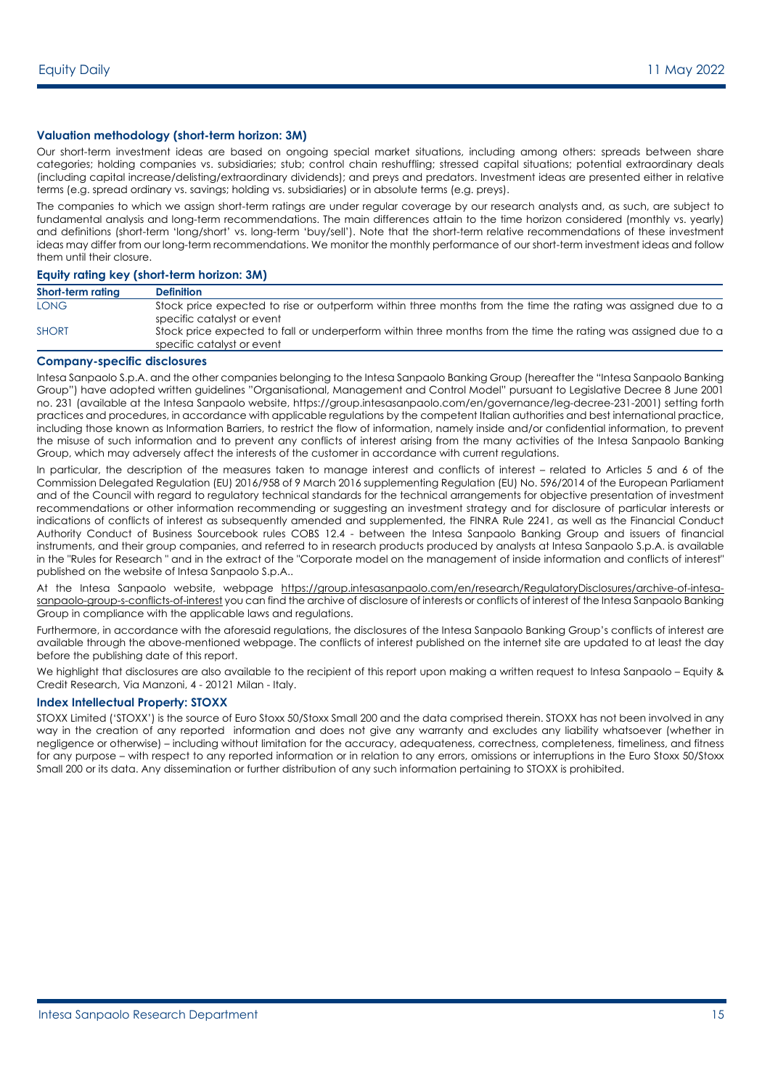#### **Valuation methodology (short-term horizon: 3M)**

Our short-term investment ideas are based on ongoing special market situations, including among others: spreads between share categories; holding companies vs. subsidiaries; stub; control chain reshuffling; stressed capital situations; potential extraordinary deals (including capital increase/delisting/extraordinary dividends); and preys and predators. Investment ideas are presented either in relative terms (e.g. spread ordinary vs. savings; holding vs. subsidiaries) or in absolute terms (e.g. preys).

The companies to which we assign short-term ratings are under regular coverage by our research analysts and, as such, are subject to fundamental analysis and long-term recommendations. The main differences attain to the time horizon considered (monthly vs. yearly) and definitions (short-term 'long/short' vs. long-term 'buy/sell'). Note that the short-term relative recommendations of these investment ideas may differ from our long-term recommendations. We monitor the monthly performance of our short-term investment ideas and follow them until their closure.

#### **Equity rating key (short-term horizon: 3M)**

| Short-term rating | <b>Definition</b>                                                                                                                             |
|-------------------|-----------------------------------------------------------------------------------------------------------------------------------------------|
| <b>LONG</b>       | Stock price expected to rise or outperform within three months from the time the rating was assigned due to a<br>specific catalyst or event   |
| <b>SHORT</b>      | Stock price expected to fall or underperform within three months from the time the rating was assigned due to a<br>specific catalyst or event |

#### **Company-specific disclosures**

Intesa Sanpaolo S.p.A. and the other companies belonging to the Intesa Sanpaolo Banking Group (hereafter the "Intesa Sanpaolo Banking Group") have adopted written guidelines "Organisational, Management and Control Model" pursuant to Legislative Decree 8 June 2001 no. 231 (available at the Intesa Sanpaolo website, https://group.intesasanpaolo.com/en/governance/leg-decree-231-2001) setting forth practices and procedures, in accordance with applicable regulations by the competent Italian authorities and best international practice, including those known as Information Barriers, to restrict the flow of information, namely inside and/or confidential information, to prevent the misuse of such information and to prevent any conflicts of interest arising from the many activities of the Intesa Sanpaolo Banking Group, which may adversely affect the interests of the customer in accordance with current regulations.

In particular, the description of the measures taken to manage interest and conflicts of interest – related to Articles 5 and 6 of the Commission Delegated Regulation (EU) 2016/958 of 9 March 2016 supplementing Regulation (EU) No. 596/2014 of the European Parliament and of the Council with regard to regulatory technical standards for the technical arrangements for objective presentation of investment recommendations or other information recommending or suggesting an investment strategy and for disclosure of particular interests or indications of conflicts of interest as subsequently amended and supplemented, the FINRA Rule 2241, as well as the Financial Conduct Authority Conduct of Business Sourcebook rules COBS 12.4 - between the Intesa Sanpaolo Banking Group and issuers of financial instruments, and their group companies, and referred to in research products produced by analysts at Intesa Sanpaolo S.p.A. is available in the "Rules for Research " and in the extract of the "Corporate model on the management of inside information and conflicts of interest" published on the website of Intesa Sanpaolo S.p.A..

At the Intesa Sanpaolo website, webpage [https://group.intesasanpaolo.com/en/research/RegulatoryDisclosures/archive-of-intesa](https://group.intesasanpaolo.com/en/research/RegulatoryDisclosures/archive-of-intesa-sanpaolo-group-s-conflicts-of-interest)[sanpaolo-group-s-conflicts-of-interest](https://group.intesasanpaolo.com/en/research/RegulatoryDisclosures/archive-of-intesa-sanpaolo-group-s-conflicts-of-interest) you can find the archive of disclosure of interests or conflicts of interest of the Intesa Sanpaolo Banking Group in compliance with the applicable laws and regulations.

Furthermore, in accordance with the aforesaid regulations, the disclosures of the Intesa Sanpaolo Banking Group's conflicts of interest are available through the above-mentioned webpage. The conflicts of interest published on the internet site are updated to at least the day before the publishing date of this report.

We highlight that disclosures are also available to the recipient of this report upon making a written request to Intesa Sanpaolo – Equity & Credit Research, Via Manzoni, 4 - 20121 Milan - Italy.

#### **Index Intellectual Property: STOXX**

STOXX Limited ('STOXX') is the source of Euro Stoxx 50/Stoxx Small 200 and the data comprised therein. STOXX has not been involved in any way in the creation of any reported information and does not give any warranty and excludes any liability whatsoever (whether in negligence or otherwise) – including without limitation for the accuracy, adequateness, correctness, completeness, timeliness, and fitness for any purpose – with respect to any reported information or in relation to any errors, omissions or interruptions in the Euro Stoxx 50/Stoxx Small 200 or its data. Any dissemination or further distribution of any such information pertaining to STOXX is prohibited.